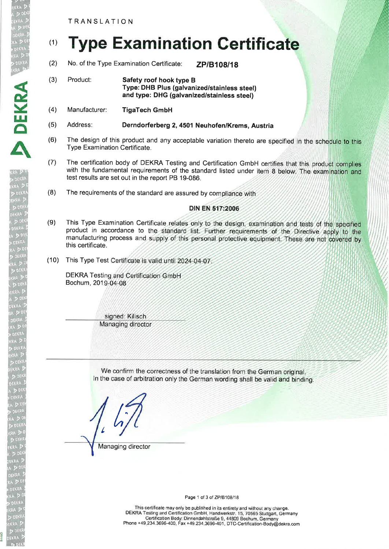TRANSLATION

D DEKRA<br>EKRA DE

DEKR

A

# (1) **Type Examination Certificate**

- (2) No. of the Type Examination Certificate: ZP/B108/18
- (3) Product: **Safety roof hook type B** Type: DHB Plus (galvanized/stainless steel) and type: DHG (galvanized/stainless steel)
- (4) Manufacturer: TigaTech GmbH
- (5) Address: Derndorferberg 2, 4501 Neuhofen/Krems, Austria
- (6) The design of this product and any acceptable variation thereto are specified in the schedule to this Type Examination Certificate.
- (7) The certification body of DEKRA Testing and Certification GmbH certifies that this product complies with the fundamental requirements of the standard listed under item 8 below. The examination and test results are set out in the report PB 19-086.
- (8) The requirements of the standard are assured by compliance with

## DIN EN 517:2006

- (9) This Type Examination Certificate relates only to the design, examination and tests of the specified product in accordance to the standard list. Further requirements of the Directive apply to the manufacturing process and supply of this personal protective equipment. These are not covered by this certificate.
- (10) This Type Test Certificate is valid until 2024-04-07

DEKRA Testing and Certification GmbH Bochum, 201

> signed: Kilisch Managing director

We confirm the correctness of the translation from the German original. In the case of arbitration only the German wording shall be valid and binding.

 $\frac{1}{2}$ Managing director

Page 1 of 3 of ZP/B108/18

This certificate may only be published in its entirety and without any change. DEKRA Testing and Certification GmbH, Handwerkstr. 15, 70565 Stuttgart, Germany Certification Body: Dinnendahlstraße g, 44809 Bochum, Germany Phone +49.234.3696-400, Fax +49.234.3696-401 , DTC-Certification-Body@dekra.com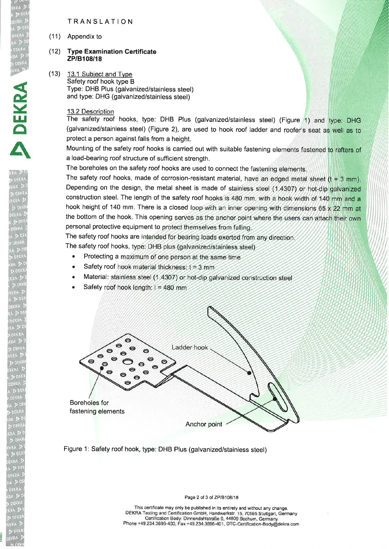### TRANSLATION

(11) Appendix to

DEKRA<br>EKRA DI

E

**DEKR** 

A

#### (12) **Type Examination Certificate** ZP/B108/18

(13) 13.1 Subject and Type Safety roof hook type B Type: DHB Plus (galvanized/stainless steel) and type: DHG (galvanized/stainless steel)

### 13.2 Description

The safety roof hooks, type: DHB Plus (galvanized/stainless steel) (Figure 1) and type: DHG (galvanized/stainless steel) (Figure 2), are used to hook roof ladder and roofer's seat as well as to protect a person against falls from a height.

Mounting of the safety roof hooks is carried out with suitable fastening elements fastened to rafters of a load-bearing roof structure of sufficient strength.

The boreholes on the safety roof hooks are used to connect the fastening elements.

The safety roof hooks, made of corrosion-resistant material, have an edged metal sheet  $(t = 3$  mm). Depending on the design, the metal sheet is made of stainless steel (1.4307) or hot-dip galvanized construction steel. The length of the safety roof hooks is 480 mm, with a hook width of 140 mm and a hook height of 140 mm. There is a closed loop with an inner opening with dimensions 65 x 22 mm at the bottom of the hook. This opening serves as the anchor point where the users can attach their own personal protective equipment to protect themselves from falling

The safety roof hooks are intended for bearing loads exerted from any direction

The safety roof hooks, type: DHB plus (galvanized/stainless steel)

- Protecting a maximum of one person at the same time
- Safety roof hook material thickness:  $t = 3$  mm
- Material: stainless steel (1.4307) or hot-dip galvanized construction steel
- Safety roof hook length:  $1 = 480$  mm



Figure 1: Safety roof hook, type: DHB Plus (galvanized/stainless steel)

Page 2 of 3 of ZP/B108/18

This certificate may only be published in its entirety and without any change. DEKRA Testing and Certification GmbH, Handwerkstr. 15, 7056S Stuttgart, Germany Certification Body: Dinnendahlstraße g, 44809 Bochum, Germany Phone +49.234.3696-400, Fax +49.234.3696-401, DTC-Certification-Body@dekra.com